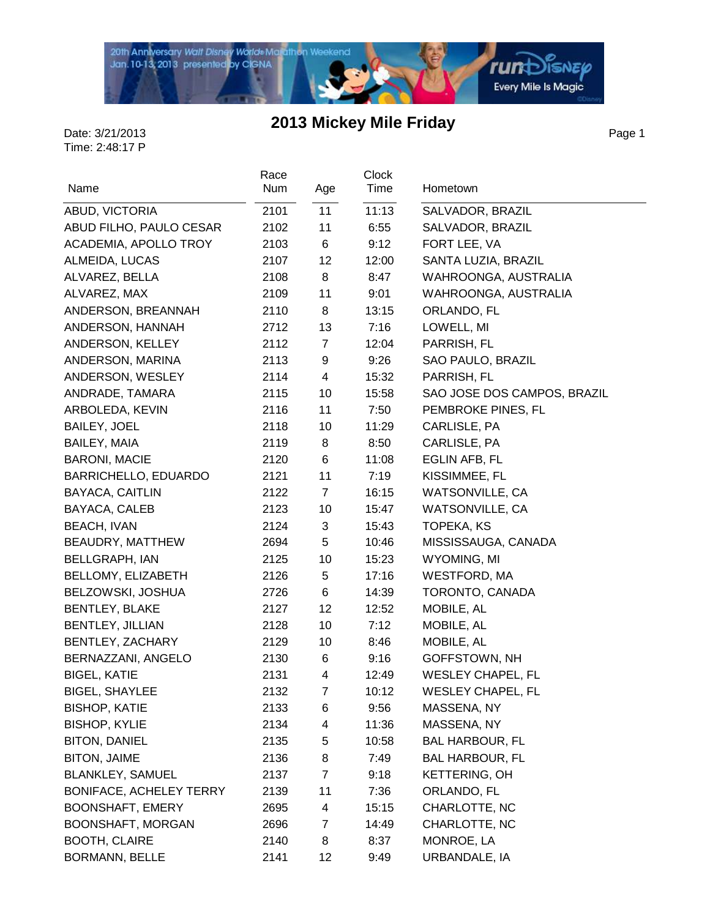

Page 1

| Name                           | Race<br>Num | Age            | <b>Clock</b><br>Time | Hometown                    |
|--------------------------------|-------------|----------------|----------------------|-----------------------------|
| ABUD, VICTORIA                 | 2101        | 11             | 11:13                | SALVADOR, BRAZIL            |
| ABUD FILHO, PAULO CESAR        | 2102        | 11             | 6:55                 | SALVADOR, BRAZIL            |
| ACADEMIA, APOLLO TROY          | 2103        | 6              | 9:12                 | FORT LEE, VA                |
| ALMEIDA, LUCAS                 | 2107        | 12             | 12:00                | SANTA LUZIA, BRAZIL         |
| ALVAREZ, BELLA                 | 2108        | 8              | 8:47                 | WAHROONGA, AUSTRALIA        |
| ALVAREZ, MAX                   | 2109        | 11             | 9:01                 | WAHROONGA, AUSTRALIA        |
| ANDERSON, BREANNAH             | 2110        | 8              | 13:15                | ORLANDO, FL                 |
| ANDERSON, HANNAH               | 2712        | 13             | 7:16                 | LOWELL, MI                  |
| ANDERSON, KELLEY               | 2112        | $\overline{7}$ | 12:04                | PARRISH, FL                 |
| ANDERSON, MARINA               | 2113        | 9              | 9:26                 | SAO PAULO, BRAZIL           |
| ANDERSON, WESLEY               | 2114        | 4              | 15:32                | PARRISH, FL                 |
| ANDRADE, TAMARA                | 2115        | 10             | 15:58                | SAO JOSE DOS CAMPOS, BRAZIL |
| ARBOLEDA, KEVIN                | 2116        | 11             | 7:50                 | PEMBROKE PINES, FL          |
| <b>BAILEY, JOEL</b>            | 2118        | 10             | 11:29                | CARLISLE, PA                |
| <b>BAILEY, MAIA</b>            | 2119        | 8              | 8:50                 | CARLISLE, PA                |
| <b>BARONI, MACIE</b>           | 2120        | 6              | 11:08                | EGLIN AFB, FL               |
| BARRICHELLO, EDUARDO           | 2121        | 11             | 7:19                 | KISSIMMEE, FL               |
| BAYACA, CAITLIN                | 2122        | $\overline{7}$ | 16:15                | <b>WATSONVILLE, CA</b>      |
| BAYACA, CALEB                  | 2123        | 10             | 15:47                | WATSONVILLE, CA             |
| <b>BEACH, IVAN</b>             | 2124        | 3              | 15:43                | TOPEKA, KS                  |
| BEAUDRY, MATTHEW               | 2694        | 5              | 10:46                | MISSISSAUGA, CANADA         |
| <b>BELLGRAPH, IAN</b>          | 2125        | 10             | 15:23                | WYOMING, MI                 |
| BELLOMY, ELIZABETH             | 2126        | 5              | 17:16                | <b>WESTFORD, MA</b>         |
| BELZOWSKI, JOSHUA              | 2726        | 6              | 14:39                | TORONTO, CANADA             |
| <b>BENTLEY, BLAKE</b>          | 2127        | 12             | 12:52                | MOBILE, AL                  |
| <b>BENTLEY, JILLIAN</b>        | 2128        | 10             | 7:12                 | MOBILE, AL                  |
| BENTLEY, ZACHARY               | 2129        | 10             | 8:46                 | MOBILE, AL                  |
| BERNAZZANI, ANGELO             | 2130        | 6              | 9:16                 | GOFFSTOWN, NH               |
| <b>BIGEL, KATIE</b>            | 2131        | 4              | 12:49                | <b>WESLEY CHAPEL, FL</b>    |
| BIGEL, SHAYLEE                 | 2132        | 7              | 10:12                | <b>WESLEY CHAPEL, FL</b>    |
| <b>BISHOP, KATIE</b>           | 2133        | 6              | 9:56                 | MASSENA, NY                 |
| <b>BISHOP, KYLIE</b>           | 2134        | 4              | 11:36                | MASSENA, NY                 |
| <b>BITON, DANIEL</b>           | 2135        | 5              | 10:58                | <b>BAL HARBOUR, FL</b>      |
| <b>BITON, JAIME</b>            | 2136        | 8              | 7:49                 | <b>BAL HARBOUR, FL</b>      |
| <b>BLANKLEY, SAMUEL</b>        | 2137        | $\overline{7}$ | 9:18                 | <b>KETTERING, OH</b>        |
| <b>BONIFACE, ACHELEY TERRY</b> | 2139        | 11             | 7:36                 | ORLANDO, FL                 |
| <b>BOONSHAFT, EMERY</b>        | 2695        | 4              | 15:15                | CHARLOTTE, NC               |
| BOONSHAFT, MORGAN              | 2696        | 7              | 14:49                | CHARLOTTE, NC               |
| <b>BOOTH, CLAIRE</b>           | 2140        | 8              | 8:37                 | MONROE, LA                  |
| BORMANN, BELLE                 | 2141        | 12             | 9:49                 | URBANDALE, IA               |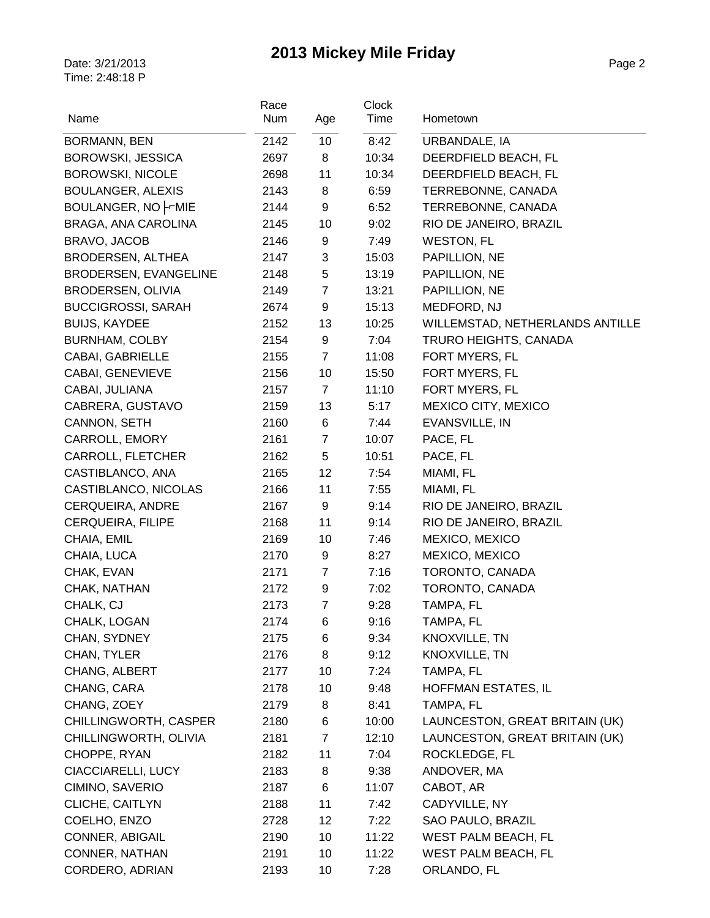| Time<br>Name<br>Num<br>Age<br>10<br>2142<br>8:42<br>URBANDALE, IA<br><b>BORMANN, BEN</b><br>DEERDFIELD BEACH, FL<br><b>BOROWSKI, JESSICA</b><br>2697<br>8<br>10:34<br>11<br><b>BOROWSKI, NICOLE</b><br>2698<br>10:34<br>DEERDFIELD BEACH, FL |  |
|----------------------------------------------------------------------------------------------------------------------------------------------------------------------------------------------------------------------------------------------|--|
|                                                                                                                                                                                                                                              |  |
|                                                                                                                                                                                                                                              |  |
|                                                                                                                                                                                                                                              |  |
| <b>BOULANGER, ALEXIS</b><br>2143<br>8<br>6:59<br>TERREBONNE, CANADA                                                                                                                                                                          |  |
| BOULANGER, NO FUMIE<br>9<br>6:52<br>TERREBONNE, CANADA<br>2144                                                                                                                                                                               |  |
| 10<br><b>BRAGA, ANA CAROLINA</b><br>9:02<br>RIO DE JANEIRO, BRAZIL<br>2145                                                                                                                                                                   |  |
| BRAVO, JACOB<br>9<br><b>WESTON, FL</b><br>2146<br>7:49                                                                                                                                                                                       |  |
| <b>BRODERSEN, ALTHEA</b><br>3<br>15:03<br>PAPILLION, NE<br>2147                                                                                                                                                                              |  |
| $\mathbf 5$<br>BRODERSEN, EVANGELINE<br>13:19<br>PAPILLION, NE<br>2148                                                                                                                                                                       |  |
| $\overline{7}$<br>BRODERSEN, OLIVIA<br>13:21<br>PAPILLION, NE<br>2149                                                                                                                                                                        |  |
| 9<br><b>BUCCIGROSSI, SARAH</b><br>2674<br>15:13<br>MEDFORD, NJ                                                                                                                                                                               |  |
| 13<br><b>BUIJS, KAYDEE</b><br>2152<br>10:25<br>WILLEMSTAD, NETHERLANDS ANTILLE                                                                                                                                                               |  |
| <b>BURNHAM, COLBY</b><br>2154<br>9<br>7:04<br>TRURO HEIGHTS, CANADA                                                                                                                                                                          |  |
| CABAI, GABRIELLE<br>$\overline{7}$<br>11:08<br>FORT MYERS, FL<br>2155                                                                                                                                                                        |  |
| CABAI, GENEVIEVE<br>10<br>15:50<br>FORT MYERS, FL<br>2156                                                                                                                                                                                    |  |
| FORT MYERS, FL<br>CABAI, JULIANA<br>2157<br>$\overline{7}$<br>11:10                                                                                                                                                                          |  |
| MEXICO CITY, MEXICO<br>CABRERA, GUSTAVO<br>13<br>2159<br>5:17                                                                                                                                                                                |  |
| CANNON, SETH<br>6<br>EVANSVILLE, IN<br>2160<br>7:44                                                                                                                                                                                          |  |
| CARROLL, EMORY<br>$\overline{7}$<br>PACE, FL<br>2161<br>10:07                                                                                                                                                                                |  |
| CARROLL, FLETCHER<br>5<br>PACE, FL<br>2162<br>10:51                                                                                                                                                                                          |  |
| CASTIBLANCO, ANA<br>12<br>7:54<br>MIAMI, FL<br>2165                                                                                                                                                                                          |  |
| 11<br>CASTIBLANCO, NICOLAS<br>2166<br>7:55<br>MIAMI, FL                                                                                                                                                                                      |  |
| <b>CERQUEIRA, ANDRE</b><br>9<br>9:14<br>RIO DE JANEIRO, BRAZIL<br>2167                                                                                                                                                                       |  |
| CERQUEIRA, FILIPE<br>11<br>RIO DE JANEIRO, BRAZIL<br>2168<br>9:14                                                                                                                                                                            |  |
| 10<br>MEXICO, MEXICO<br>CHAIA, EMIL<br>2169<br>7:46                                                                                                                                                                                          |  |
| 2170<br>8:27<br>MEXICO, MEXICO<br>CHAIA, LUCA<br>9                                                                                                                                                                                           |  |
| 2171<br>$\overline{7}$<br>7:16<br>TORONTO, CANADA<br>CHAK, EVAN                                                                                                                                                                              |  |
| TORONTO, CANADA<br>CHAK, NATHAN<br>9<br>2172<br>7:02                                                                                                                                                                                         |  |
| CHALK, CJ<br>$\overline{7}$<br>9:28<br>TAMPA, FL<br>2173                                                                                                                                                                                     |  |
| CHALK, LOGAN<br>9:16<br>TAMPA, FL<br>2174<br>6                                                                                                                                                                                               |  |
| CHAN, SYDNEY<br>KNOXVILLE, TN<br>2175<br>9:34<br>6                                                                                                                                                                                           |  |
| KNOXVILLE, TN<br>CHAN, TYLER<br>8<br>2176<br>9:12                                                                                                                                                                                            |  |
| CHANG, ALBERT<br>10<br>TAMPA, FL<br>2177<br>7:24                                                                                                                                                                                             |  |
| CHANG, CARA<br>2178<br>10<br>HOFFMAN ESTATES, IL<br>9:48                                                                                                                                                                                     |  |
| CHANG, ZOEY<br>2179<br>8<br>TAMPA, FL<br>8:41                                                                                                                                                                                                |  |
| CHILLINGWORTH, CASPER<br>LAUNCESTON, GREAT BRITAIN (UK)<br>2180<br>6<br>10:00                                                                                                                                                                |  |
| CHILLINGWORTH, OLIVIA<br>LAUNCESTON, GREAT BRITAIN (UK)<br>$\overline{7}$<br>12:10<br>2181                                                                                                                                                   |  |
| 11<br>ROCKLEDGE, FL<br>CHOPPE, RYAN<br>2182<br>7:04                                                                                                                                                                                          |  |
| CIACCIARELLI, LUCY<br>8<br>ANDOVER, MA<br>2183<br>9:38                                                                                                                                                                                       |  |
| CIMINO, SAVERIO<br>2187<br>6<br>11:07<br>CABOT, AR                                                                                                                                                                                           |  |
| CLICHE, CAITLYN<br>11<br>CADYVILLE, NY<br>2188<br>7:42                                                                                                                                                                                       |  |
| COELHO, ENZO<br>12<br>SAO PAULO, BRAZIL<br>2728<br>7:22                                                                                                                                                                                      |  |
| WEST PALM BEACH, FL<br>CONNER, ABIGAIL<br>2190<br>10<br>11:22                                                                                                                                                                                |  |
| CONNER, NATHAN<br>WEST PALM BEACH, FL<br>2191<br>10<br>11:22                                                                                                                                                                                 |  |
| CORDERO, ADRIAN<br>2193<br>10<br>7:28<br>ORLANDO, FL                                                                                                                                                                                         |  |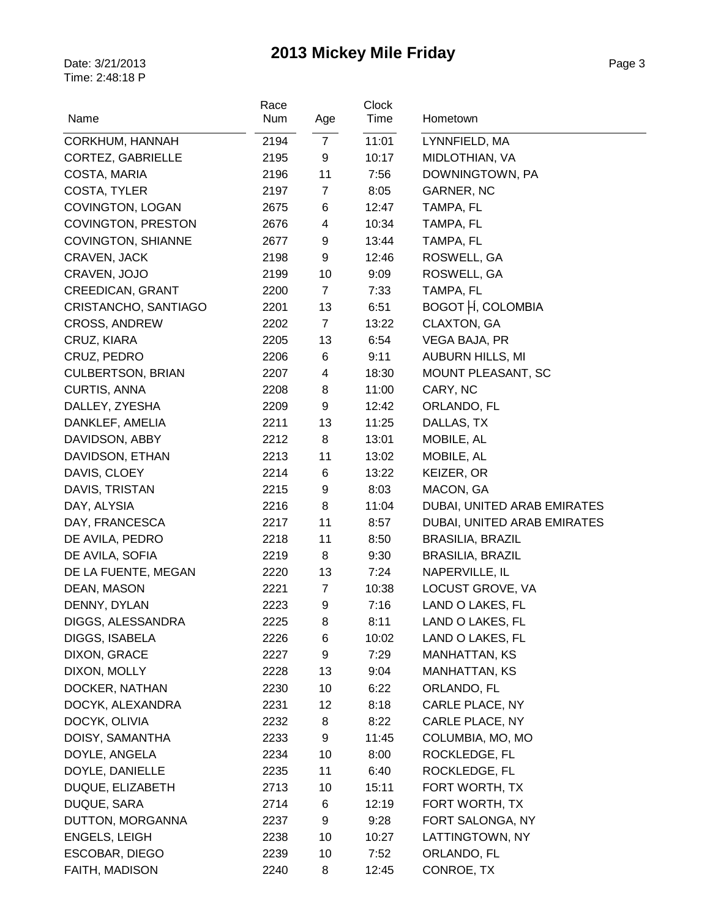| Num<br>Age<br>$\overline{7}$<br>11:01<br>CORKHUM, HANNAH<br>2194<br>LYNNFIELD, MA<br>CORTEZ, GABRIELLE<br>2195<br>9<br>10:17<br>MIDLOTHIAN, VA<br>COSTA, MARIA<br>11<br>DOWNINGTOWN, PA<br>2196<br>7:56<br>COSTA, TYLER<br>$\overline{7}$<br>8:05<br>2197<br>GARNER, NC<br>COVINGTON, LOGAN<br>6<br>2675<br>12:47<br>TAMPA, FL<br>COVINGTON, PRESTON<br>4<br>10:34<br>TAMPA, FL<br>2676<br><b>COVINGTON, SHIANNE</b><br>9<br>TAMPA, FL<br>2677<br>13:44<br>2198<br>9<br>12:46<br>ROSWELL, GA<br>CRAVEN, JACK<br>10<br>9:09<br>ROSWELL, GA<br>CRAVEN, JOJO<br>2199<br>CREEDICAN, GRANT<br>$\overline{7}$<br>7:33<br>TAMPA, FL<br>2200<br>BOGOT   Í, COLOMBIA<br>13<br>CRISTANCHO, SANTIAGO<br>2201<br>6:51<br>CLAXTON, GA<br>$\overline{7}$<br><b>CROSS, ANDREW</b><br>2202<br>13:22<br>2205<br>13<br>6:54<br>VEGA BAJA, PR<br>CRUZ, KIARA<br>2206<br>6<br>CRUZ, PEDRO<br>9:11<br><b>AUBURN HILLS, MI</b><br><b>CULBERTSON, BRIAN</b><br>$\overline{\mathbf{4}}$<br>MOUNT PLEASANT, SC<br>2207<br>18:30<br><b>CURTIS, ANNA</b><br>2208<br>8<br>11:00<br>CARY, NC<br>9<br>DALLEY, ZYESHA<br>ORLANDO, FL<br>2209<br>12:42<br>DANKLEF, AMELIA<br>2211<br>13<br>DALLAS, TX<br>11:25<br>DAVIDSON, ABBY<br>8<br>13:01<br>MOBILE, AL<br>2212<br>DAVIDSON, ETHAN<br>11<br>MOBILE, AL<br>2213<br>13:02<br>DAVIS, CLOEY<br>6<br>13:22<br>KEIZER, OR<br>2214<br>MACON, GA<br>DAVIS, TRISTAN<br>9<br>8:03<br>2215<br>8<br>DAY, ALYSIA<br>DUBAI, UNITED ARAB EMIRATES<br>2216<br>11:04<br>11<br>DAY, FRANCESCA<br>2217<br>8:57<br>DUBAI, UNITED ARAB EMIRATES<br>DE AVILA, PEDRO<br>11<br>2218<br>8:50<br><b>BRASILIA, BRAZIL</b><br>DE AVILA, SOFIA<br>8<br>2219<br>9:30<br><b>BRASILIA, BRAZIL</b><br>13<br>7:24<br>NAPERVILLE, IL<br>DE LA FUENTE, MEGAN<br>2220<br>LOCUST GROVE, VA<br>DEAN, MASON<br>$\overline{7}$<br>2221<br>10:38 |
|-----------------------------------------------------------------------------------------------------------------------------------------------------------------------------------------------------------------------------------------------------------------------------------------------------------------------------------------------------------------------------------------------------------------------------------------------------------------------------------------------------------------------------------------------------------------------------------------------------------------------------------------------------------------------------------------------------------------------------------------------------------------------------------------------------------------------------------------------------------------------------------------------------------------------------------------------------------------------------------------------------------------------------------------------------------------------------------------------------------------------------------------------------------------------------------------------------------------------------------------------------------------------------------------------------------------------------------------------------------------------------------------------------------------------------------------------------------------------------------------------------------------------------------------------------------------------------------------------------------------------------------------------------------------------------------------------------------------------------------------------------------------------------------------------------------------------------|
|                                                                                                                                                                                                                                                                                                                                                                                                                                                                                                                                                                                                                                                                                                                                                                                                                                                                                                                                                                                                                                                                                                                                                                                                                                                                                                                                                                                                                                                                                                                                                                                                                                                                                                                                                                                                                             |
|                                                                                                                                                                                                                                                                                                                                                                                                                                                                                                                                                                                                                                                                                                                                                                                                                                                                                                                                                                                                                                                                                                                                                                                                                                                                                                                                                                                                                                                                                                                                                                                                                                                                                                                                                                                                                             |
|                                                                                                                                                                                                                                                                                                                                                                                                                                                                                                                                                                                                                                                                                                                                                                                                                                                                                                                                                                                                                                                                                                                                                                                                                                                                                                                                                                                                                                                                                                                                                                                                                                                                                                                                                                                                                             |
|                                                                                                                                                                                                                                                                                                                                                                                                                                                                                                                                                                                                                                                                                                                                                                                                                                                                                                                                                                                                                                                                                                                                                                                                                                                                                                                                                                                                                                                                                                                                                                                                                                                                                                                                                                                                                             |
|                                                                                                                                                                                                                                                                                                                                                                                                                                                                                                                                                                                                                                                                                                                                                                                                                                                                                                                                                                                                                                                                                                                                                                                                                                                                                                                                                                                                                                                                                                                                                                                                                                                                                                                                                                                                                             |
|                                                                                                                                                                                                                                                                                                                                                                                                                                                                                                                                                                                                                                                                                                                                                                                                                                                                                                                                                                                                                                                                                                                                                                                                                                                                                                                                                                                                                                                                                                                                                                                                                                                                                                                                                                                                                             |
|                                                                                                                                                                                                                                                                                                                                                                                                                                                                                                                                                                                                                                                                                                                                                                                                                                                                                                                                                                                                                                                                                                                                                                                                                                                                                                                                                                                                                                                                                                                                                                                                                                                                                                                                                                                                                             |
|                                                                                                                                                                                                                                                                                                                                                                                                                                                                                                                                                                                                                                                                                                                                                                                                                                                                                                                                                                                                                                                                                                                                                                                                                                                                                                                                                                                                                                                                                                                                                                                                                                                                                                                                                                                                                             |
|                                                                                                                                                                                                                                                                                                                                                                                                                                                                                                                                                                                                                                                                                                                                                                                                                                                                                                                                                                                                                                                                                                                                                                                                                                                                                                                                                                                                                                                                                                                                                                                                                                                                                                                                                                                                                             |
|                                                                                                                                                                                                                                                                                                                                                                                                                                                                                                                                                                                                                                                                                                                                                                                                                                                                                                                                                                                                                                                                                                                                                                                                                                                                                                                                                                                                                                                                                                                                                                                                                                                                                                                                                                                                                             |
|                                                                                                                                                                                                                                                                                                                                                                                                                                                                                                                                                                                                                                                                                                                                                                                                                                                                                                                                                                                                                                                                                                                                                                                                                                                                                                                                                                                                                                                                                                                                                                                                                                                                                                                                                                                                                             |
|                                                                                                                                                                                                                                                                                                                                                                                                                                                                                                                                                                                                                                                                                                                                                                                                                                                                                                                                                                                                                                                                                                                                                                                                                                                                                                                                                                                                                                                                                                                                                                                                                                                                                                                                                                                                                             |
|                                                                                                                                                                                                                                                                                                                                                                                                                                                                                                                                                                                                                                                                                                                                                                                                                                                                                                                                                                                                                                                                                                                                                                                                                                                                                                                                                                                                                                                                                                                                                                                                                                                                                                                                                                                                                             |
|                                                                                                                                                                                                                                                                                                                                                                                                                                                                                                                                                                                                                                                                                                                                                                                                                                                                                                                                                                                                                                                                                                                                                                                                                                                                                                                                                                                                                                                                                                                                                                                                                                                                                                                                                                                                                             |
|                                                                                                                                                                                                                                                                                                                                                                                                                                                                                                                                                                                                                                                                                                                                                                                                                                                                                                                                                                                                                                                                                                                                                                                                                                                                                                                                                                                                                                                                                                                                                                                                                                                                                                                                                                                                                             |
|                                                                                                                                                                                                                                                                                                                                                                                                                                                                                                                                                                                                                                                                                                                                                                                                                                                                                                                                                                                                                                                                                                                                                                                                                                                                                                                                                                                                                                                                                                                                                                                                                                                                                                                                                                                                                             |
|                                                                                                                                                                                                                                                                                                                                                                                                                                                                                                                                                                                                                                                                                                                                                                                                                                                                                                                                                                                                                                                                                                                                                                                                                                                                                                                                                                                                                                                                                                                                                                                                                                                                                                                                                                                                                             |
|                                                                                                                                                                                                                                                                                                                                                                                                                                                                                                                                                                                                                                                                                                                                                                                                                                                                                                                                                                                                                                                                                                                                                                                                                                                                                                                                                                                                                                                                                                                                                                                                                                                                                                                                                                                                                             |
|                                                                                                                                                                                                                                                                                                                                                                                                                                                                                                                                                                                                                                                                                                                                                                                                                                                                                                                                                                                                                                                                                                                                                                                                                                                                                                                                                                                                                                                                                                                                                                                                                                                                                                                                                                                                                             |
|                                                                                                                                                                                                                                                                                                                                                                                                                                                                                                                                                                                                                                                                                                                                                                                                                                                                                                                                                                                                                                                                                                                                                                                                                                                                                                                                                                                                                                                                                                                                                                                                                                                                                                                                                                                                                             |
|                                                                                                                                                                                                                                                                                                                                                                                                                                                                                                                                                                                                                                                                                                                                                                                                                                                                                                                                                                                                                                                                                                                                                                                                                                                                                                                                                                                                                                                                                                                                                                                                                                                                                                                                                                                                                             |
|                                                                                                                                                                                                                                                                                                                                                                                                                                                                                                                                                                                                                                                                                                                                                                                                                                                                                                                                                                                                                                                                                                                                                                                                                                                                                                                                                                                                                                                                                                                                                                                                                                                                                                                                                                                                                             |
|                                                                                                                                                                                                                                                                                                                                                                                                                                                                                                                                                                                                                                                                                                                                                                                                                                                                                                                                                                                                                                                                                                                                                                                                                                                                                                                                                                                                                                                                                                                                                                                                                                                                                                                                                                                                                             |
|                                                                                                                                                                                                                                                                                                                                                                                                                                                                                                                                                                                                                                                                                                                                                                                                                                                                                                                                                                                                                                                                                                                                                                                                                                                                                                                                                                                                                                                                                                                                                                                                                                                                                                                                                                                                                             |
|                                                                                                                                                                                                                                                                                                                                                                                                                                                                                                                                                                                                                                                                                                                                                                                                                                                                                                                                                                                                                                                                                                                                                                                                                                                                                                                                                                                                                                                                                                                                                                                                                                                                                                                                                                                                                             |
|                                                                                                                                                                                                                                                                                                                                                                                                                                                                                                                                                                                                                                                                                                                                                                                                                                                                                                                                                                                                                                                                                                                                                                                                                                                                                                                                                                                                                                                                                                                                                                                                                                                                                                                                                                                                                             |
|                                                                                                                                                                                                                                                                                                                                                                                                                                                                                                                                                                                                                                                                                                                                                                                                                                                                                                                                                                                                                                                                                                                                                                                                                                                                                                                                                                                                                                                                                                                                                                                                                                                                                                                                                                                                                             |
|                                                                                                                                                                                                                                                                                                                                                                                                                                                                                                                                                                                                                                                                                                                                                                                                                                                                                                                                                                                                                                                                                                                                                                                                                                                                                                                                                                                                                                                                                                                                                                                                                                                                                                                                                                                                                             |
| 2223<br>9<br>DENNY, DYLAN<br>7:16<br>LAND O LAKES, FL                                                                                                                                                                                                                                                                                                                                                                                                                                                                                                                                                                                                                                                                                                                                                                                                                                                                                                                                                                                                                                                                                                                                                                                                                                                                                                                                                                                                                                                                                                                                                                                                                                                                                                                                                                       |
| DIGGS, ALESSANDRA<br>8:11<br>LAND O LAKES, FL<br>2225<br>8                                                                                                                                                                                                                                                                                                                                                                                                                                                                                                                                                                                                                                                                                                                                                                                                                                                                                                                                                                                                                                                                                                                                                                                                                                                                                                                                                                                                                                                                                                                                                                                                                                                                                                                                                                  |
| DIGGS, ISABELA<br>LAND O LAKES, FL<br>2226<br>6<br>10:02                                                                                                                                                                                                                                                                                                                                                                                                                                                                                                                                                                                                                                                                                                                                                                                                                                                                                                                                                                                                                                                                                                                                                                                                                                                                                                                                                                                                                                                                                                                                                                                                                                                                                                                                                                    |
| DIXON, GRACE<br>9<br><b>MANHATTAN, KS</b><br>2227<br>7:29                                                                                                                                                                                                                                                                                                                                                                                                                                                                                                                                                                                                                                                                                                                                                                                                                                                                                                                                                                                                                                                                                                                                                                                                                                                                                                                                                                                                                                                                                                                                                                                                                                                                                                                                                                   |
| DIXON, MOLLY<br>13<br>2228<br>9:04<br>MANHATTAN, KS                                                                                                                                                                                                                                                                                                                                                                                                                                                                                                                                                                                                                                                                                                                                                                                                                                                                                                                                                                                                                                                                                                                                                                                                                                                                                                                                                                                                                                                                                                                                                                                                                                                                                                                                                                         |
| DOCKER, NATHAN<br>10<br>ORLANDO, FL<br>2230<br>6:22                                                                                                                                                                                                                                                                                                                                                                                                                                                                                                                                                                                                                                                                                                                                                                                                                                                                                                                                                                                                                                                                                                                                                                                                                                                                                                                                                                                                                                                                                                                                                                                                                                                                                                                                                                         |
| DOCYK, ALEXANDRA<br>12<br>CARLE PLACE, NY<br>2231<br>8:18                                                                                                                                                                                                                                                                                                                                                                                                                                                                                                                                                                                                                                                                                                                                                                                                                                                                                                                                                                                                                                                                                                                                                                                                                                                                                                                                                                                                                                                                                                                                                                                                                                                                                                                                                                   |
| DOCYK, OLIVIA<br>CARLE PLACE, NY<br>2232<br>8:22<br>8                                                                                                                                                                                                                                                                                                                                                                                                                                                                                                                                                                                                                                                                                                                                                                                                                                                                                                                                                                                                                                                                                                                                                                                                                                                                                                                                                                                                                                                                                                                                                                                                                                                                                                                                                                       |
| COLUMBIA, MO, MO<br>DOISY, SAMANTHA<br>2233<br>9<br>11:45                                                                                                                                                                                                                                                                                                                                                                                                                                                                                                                                                                                                                                                                                                                                                                                                                                                                                                                                                                                                                                                                                                                                                                                                                                                                                                                                                                                                                                                                                                                                                                                                                                                                                                                                                                   |
| DOYLE, ANGELA<br>10<br>ROCKLEDGE, FL<br>2234<br>8:00                                                                                                                                                                                                                                                                                                                                                                                                                                                                                                                                                                                                                                                                                                                                                                                                                                                                                                                                                                                                                                                                                                                                                                                                                                                                                                                                                                                                                                                                                                                                                                                                                                                                                                                                                                        |
| DOYLE, DANIELLE<br>11<br>ROCKLEDGE, FL<br>2235<br>6:40                                                                                                                                                                                                                                                                                                                                                                                                                                                                                                                                                                                                                                                                                                                                                                                                                                                                                                                                                                                                                                                                                                                                                                                                                                                                                                                                                                                                                                                                                                                                                                                                                                                                                                                                                                      |
| DUQUE, ELIZABETH<br>2713<br>10<br>15:11<br>FORT WORTH, TX                                                                                                                                                                                                                                                                                                                                                                                                                                                                                                                                                                                                                                                                                                                                                                                                                                                                                                                                                                                                                                                                                                                                                                                                                                                                                                                                                                                                                                                                                                                                                                                                                                                                                                                                                                   |
| DUQUE, SARA<br>FORT WORTH, TX<br>2714<br>12:19<br>6                                                                                                                                                                                                                                                                                                                                                                                                                                                                                                                                                                                                                                                                                                                                                                                                                                                                                                                                                                                                                                                                                                                                                                                                                                                                                                                                                                                                                                                                                                                                                                                                                                                                                                                                                                         |
| DUTTON, MORGANNA<br>FORT SALONGA, NY<br>2237<br>9<br>9:28                                                                                                                                                                                                                                                                                                                                                                                                                                                                                                                                                                                                                                                                                                                                                                                                                                                                                                                                                                                                                                                                                                                                                                                                                                                                                                                                                                                                                                                                                                                                                                                                                                                                                                                                                                   |
| ENGELS, LEIGH<br>10<br>LATTINGTOWN, NY<br>2238<br>10:27                                                                                                                                                                                                                                                                                                                                                                                                                                                                                                                                                                                                                                                                                                                                                                                                                                                                                                                                                                                                                                                                                                                                                                                                                                                                                                                                                                                                                                                                                                                                                                                                                                                                                                                                                                     |
| ESCOBAR, DIEGO<br>2239<br>10<br>7:52<br>ORLANDO, FL                                                                                                                                                                                                                                                                                                                                                                                                                                                                                                                                                                                                                                                                                                                                                                                                                                                                                                                                                                                                                                                                                                                                                                                                                                                                                                                                                                                                                                                                                                                                                                                                                                                                                                                                                                         |
| FAITH, MADISON<br>2240<br>8<br>CONROE, TX<br>12:45                                                                                                                                                                                                                                                                                                                                                                                                                                                                                                                                                                                                                                                                                                                                                                                                                                                                                                                                                                                                                                                                                                                                                                                                                                                                                                                                                                                                                                                                                                                                                                                                                                                                                                                                                                          |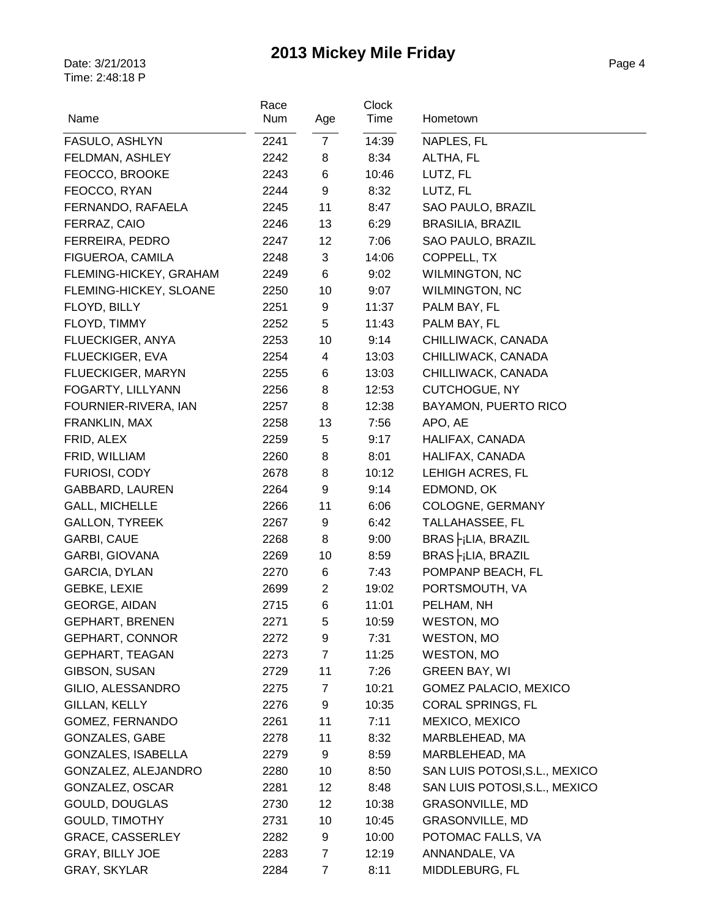| Name                      | Race<br>Num | Age            | Clock<br>Time | Hometown                          |
|---------------------------|-------------|----------------|---------------|-----------------------------------|
| FASULO, ASHLYN            | 2241        | $\overline{7}$ | 14:39         | NAPLES, FL                        |
| FELDMAN, ASHLEY           | 2242        | 8              | 8:34          | ALTHA, FL                         |
| FEOCCO, BROOKE            | 2243        | 6              | 10:46         | LUTZ, FL                          |
| FEOCCO, RYAN              | 2244        | 9              | 8:32          | LUTZ, FL                          |
| FERNANDO, RAFAELA         | 2245        | 11             | 8:47          | SAO PAULO, BRAZIL                 |
| FERRAZ, CAIO              | 2246        | 13             | 6:29          | <b>BRASILIA, BRAZIL</b>           |
| FERREIRA, PEDRO           | 2247        | 12             | 7:06          | SAO PAULO, BRAZIL                 |
| FIGUEROA, CAMILA          | 2248        | 3              | 14:06         | COPPELL, TX                       |
| FLEMING-HICKEY, GRAHAM    | 2249        | 6              | 9:02          | <b>WILMINGTON, NC</b>             |
| FLEMING-HICKEY, SLOANE    | 2250        | 10             | 9:07          | <b>WILMINGTON, NC</b>             |
| FLOYD, BILLY              | 2251        | 9              | 11:37         | PALM BAY, FL                      |
| FLOYD, TIMMY              | 2252        | 5              | 11:43         | PALM BAY, FL                      |
| FLUECKIGER, ANYA          | 2253        | 10             | 9:14          | CHILLIWACK, CANADA                |
| FLUECKIGER, EVA           | 2254        | 4              | 13:03         | CHILLIWACK, CANADA                |
| FLUECKIGER, MARYN         | 2255        | 6              | 13:03         | CHILLIWACK, CANADA                |
| FOGARTY, LILLYANN         | 2256        | 8              | 12:53         | <b>CUTCHOGUE, NY</b>              |
| FOURNIER-RIVERA, IAN      | 2257        | 8              | 12:38         | <b>BAYAMON, PUERTO RICO</b>       |
| FRANKLIN, MAX             | 2258        | 13             | 7:56          | APO, AE                           |
| FRID, ALEX                | 2259        | 5              | 9:17          | HALIFAX, CANADA                   |
| FRID, WILLIAM             | 2260        | 8              | 8:01          | HALIFAX, CANADA                   |
| FURIOSI, CODY             | 2678        | 8              | 10:12         | LEHIGH ACRES, FL                  |
| GABBARD, LAUREN           | 2264        | 9              | 9:14          | EDMOND, OK                        |
| <b>GALL, MICHELLE</b>     | 2266        | 11             | 6:06          | COLOGNE, GERMANY                  |
| <b>GALLON, TYREEK</b>     | 2267        | 9              | 6:42          | TALLAHASSEE, FL                   |
| GARBI, CAUE               | 2268        | 8              | 9:00          | $BRAS$ $-jLIA$ , $BRAZIL$         |
| GARBI, GIOVANA            | 2269        | 10             | 8:59          | $BRAS$ $\vdash$ $ LIA$ , $BRAZIL$ |
| GARCIA, DYLAN             | 2270        | 6              | 7:43          | POMPANP BEACH, FL                 |
| GEBKE, LEXIE              | 2699        | $\overline{2}$ | 19:02         | PORTSMOUTH, VA                    |
| GEORGE, AIDAN             | 2715        | 6              | 11:01         | PELHAM, NH                        |
| <b>GEPHART, BRENEN</b>    | 2271        | 5              | 10:59         | WESTON, MO                        |
| <b>GEPHART, CONNOR</b>    | 2272        | 9              | 7:31          | WESTON, MO                        |
| <b>GEPHART, TEAGAN</b>    | 2273        | $\overline{7}$ | 11:25         | <b>WESTON, MO</b>                 |
| GIBSON, SUSAN             | 2729        | 11             | 7:26          | <b>GREEN BAY, WI</b>              |
| GILIO, ALESSANDRO         | 2275        | 7              | 10:21         | GOMEZ PALACIO, MEXICO             |
| GILLAN, KELLY             | 2276        | 9              | 10:35         | CORAL SPRINGS, FL                 |
| GOMEZ, FERNANDO           | 2261        | 11             | 7:11          | MEXICO, MEXICO                    |
| <b>GONZALES, GABE</b>     | 2278        | 11             | 8:32          | MARBLEHEAD, MA                    |
| <b>GONZALES, ISABELLA</b> | 2279        | 9              | 8:59          | MARBLEHEAD, MA                    |
| GONZALEZ, ALEJANDRO       | 2280        | 10             | 8:50          | SAN LUIS POTOSI, S.L., MEXICO     |
| GONZALEZ, OSCAR           | 2281        | 12             | 8:48          | SAN LUIS POTOSI, S.L., MEXICO     |
| GOULD, DOUGLAS            | 2730        | 12             | 10:38         | <b>GRASONVILLE, MD</b>            |
| <b>GOULD, TIMOTHY</b>     | 2731        | 10             | 10:45         | GRASONVILLE, MD                   |
| <b>GRACE, CASSERLEY</b>   | 2282        | 9              | 10:00         | POTOMAC FALLS, VA                 |
| GRAY, BILLY JOE           | 2283        | 7              | 12:19         | ANNANDALE, VA                     |
| GRAY, SKYLAR              | 2284        | 7              | 8:11          | MIDDLEBURG, FL                    |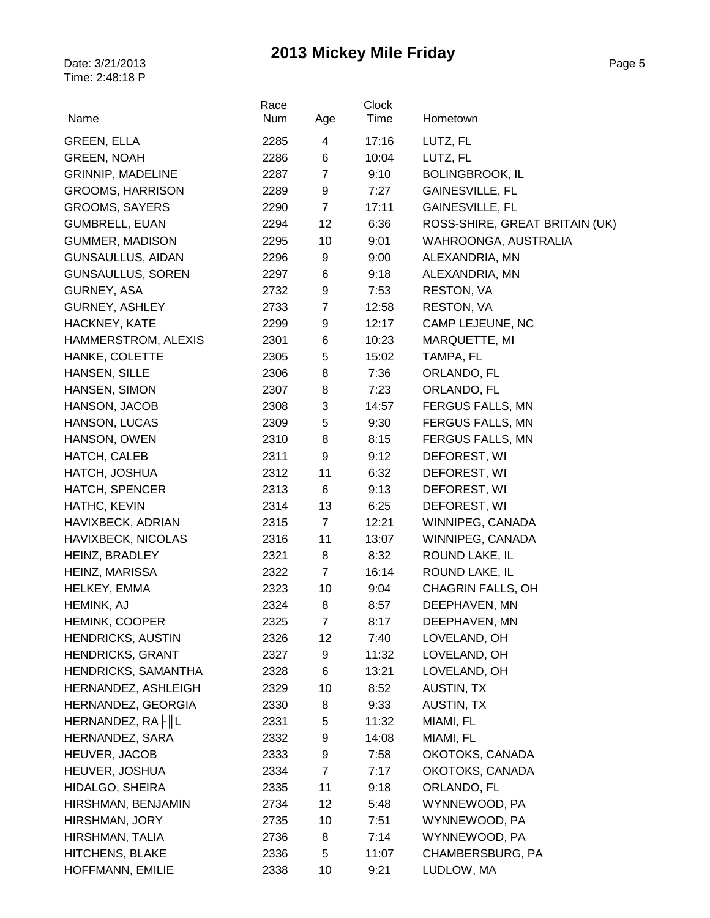| Name                     | Race<br>Num | Age            | <b>Clock</b><br>Time | Hometown                       |
|--------------------------|-------------|----------------|----------------------|--------------------------------|
|                          |             |                |                      |                                |
| <b>GREEN, ELLA</b>       | 2285        | $\overline{4}$ | 17:16                | LUTZ, FL                       |
| <b>GREEN, NOAH</b>       | 2286        | 6              | 10:04                | LUTZ, FL                       |
| <b>GRINNIP, MADELINE</b> | 2287        | $\overline{7}$ | 9:10                 | <b>BOLINGBROOK, IL</b>         |
| <b>GROOMS, HARRISON</b>  | 2289        | 9              | 7:27                 | <b>GAINESVILLE, FL</b>         |
| GROOMS, SAYERS           | 2290        | $\overline{7}$ | 17:11                | GAINESVILLE, FL                |
| <b>GUMBRELL, EUAN</b>    | 2294        | 12             | 6:36                 | ROSS-SHIRE, GREAT BRITAIN (UK) |
| <b>GUMMER, MADISON</b>   | 2295        | 10             | 9:01                 | WAHROONGA, AUSTRALIA           |
| <b>GUNSAULLUS, AIDAN</b> | 2296        | 9              | 9:00                 | ALEXANDRIA, MN                 |
| <b>GUNSAULLUS, SOREN</b> | 2297        | 6              | 9:18                 | ALEXANDRIA, MN                 |
| GURNEY, ASA              | 2732        | 9              | 7:53                 | RESTON, VA                     |
| <b>GURNEY, ASHLEY</b>    | 2733        | $\overline{7}$ | 12:58                | <b>RESTON, VA</b>              |
| HACKNEY, KATE            | 2299        | 9              | 12:17                | CAMP LEJEUNE, NC               |
| HAMMERSTROM, ALEXIS      | 2301        | 6              | 10:23                | MARQUETTE, MI                  |
| HANKE, COLETTE           | 2305        | 5              | 15:02                | TAMPA, FL                      |
| HANSEN, SILLE            | 2306        | 8              | 7:36                 | ORLANDO, FL                    |
| HANSEN, SIMON            | 2307        | 8              | 7:23                 | ORLANDO, FL                    |
| HANSON, JACOB            | 2308        | 3              | 14:57                | <b>FERGUS FALLS, MN</b>        |
| HANSON, LUCAS            | 2309        | 5              | 9:30                 | <b>FERGUS FALLS, MN</b>        |
| HANSON, OWEN             | 2310        | 8              | 8:15                 | <b>FERGUS FALLS, MN</b>        |
| HATCH, CALEB             | 2311        | 9              | 9:12                 | DEFOREST, WI                   |
| HATCH, JOSHUA            | 2312        | 11             | 6:32                 | DEFOREST, WI                   |
| <b>HATCH, SPENCER</b>    | 2313        | 6              | 9:13                 | DEFOREST, WI                   |
| HATHC, KEVIN             | 2314        | 13             | 6:25                 | DEFOREST, WI                   |
| HAVIXBECK, ADRIAN        | 2315        | $\overline{7}$ | 12:21                | WINNIPEG, CANADA               |
| HAVIXBECK, NICOLAS       | 2316        | 11             | 13:07                | WINNIPEG, CANADA               |
| HEINZ, BRADLEY           | 2321        | 8              | 8:32                 | ROUND LAKE, IL                 |
| HEINZ, MARISSA           | 2322        | $\overline{7}$ | 16:14                | ROUND LAKE, IL                 |
| HELKEY, EMMA             | 2323        | 10             | 9:04                 | <b>CHAGRIN FALLS, OH</b>       |
| HEMINK, AJ               | 2324        | 8              | 8:57                 | DEEPHAVEN, MN                  |
| <b>HEMINK, COOPER</b>    | 2325        | $\overline{7}$ | 8:17                 | DEEPHAVEN, MN                  |
| <b>HENDRICKS, AUSTIN</b> | 2326        | 12             | 7:40                 | LOVELAND, OH                   |
| <b>HENDRICKS, GRANT</b>  | 2327        | 9              | 11:32                | LOVELAND, OH                   |
| HENDRICKS, SAMANTHA      | 2328        | 6              | 13:21                | LOVELAND, OH                   |
| HERNANDEZ, ASHLEIGH      | 2329        | 10             | 8:52                 | <b>AUSTIN, TX</b>              |
| HERNANDEZ, GEORGIA       | 2330        | 8              | 9:33                 | AUSTIN, TX                     |
| HERNANDEZ, RA     L      | 2331        | 5              | 11:32                | MIAMI, FL                      |
| HERNANDEZ, SARA          | 2332        | 9              | 14:08                | MIAMI, FL                      |
| HEUVER, JACOB            | 2333        | 9              | 7:58                 | OKOTOKS, CANADA                |
| HEUVER, JOSHUA           | 2334        | $\overline{7}$ | 7:17                 | OKOTOKS, CANADA                |
| HIDALGO, SHEIRA          | 2335        | 11             | 9:18                 | ORLANDO, FL                    |
| HIRSHMAN, BENJAMIN       | 2734        | 12             | 5:48                 | WYNNEWOOD, PA                  |
| HIRSHMAN, JORY           | 2735        | 10             | 7:51                 | WYNNEWOOD, PA                  |
| HIRSHMAN, TALIA          | 2736        | 8              | 7:14                 | WYNNEWOOD, PA                  |
| HITCHENS, BLAKE          | 2336        | 5              | 11:07                | CHAMBERSBURG, PA               |
| HOFFMANN, EMILIE         | 2338        | 10             | 9:21                 | LUDLOW, MA                     |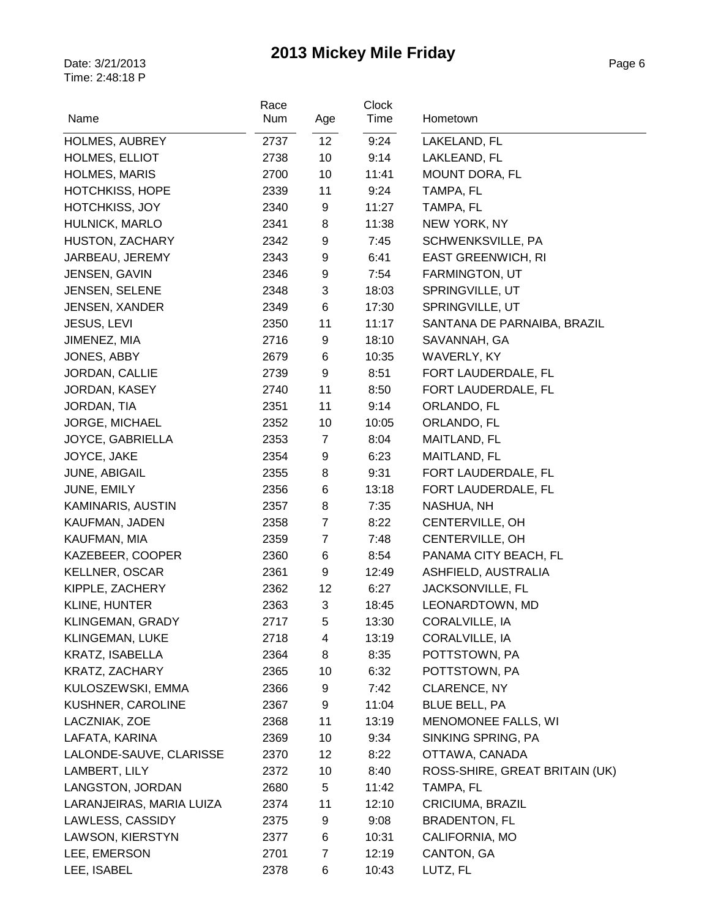|                          | Race |                 | <b>Clock</b> |                                |
|--------------------------|------|-----------------|--------------|--------------------------------|
| Name                     | Num  | Age             | Time         | Hometown                       |
| <b>HOLMES, AUBREY</b>    | 2737 | 12 <sup>°</sup> | 9:24         | LAKELAND, FL                   |
| HOLMES, ELLIOT           | 2738 | 10              | 9:14         | LAKLEAND, FL                   |
| <b>HOLMES, MARIS</b>     | 2700 | 10              | 11:41        | MOUNT DORA, FL                 |
| HOTCHKISS, HOPE          | 2339 | 11              | 9:24         | TAMPA, FL                      |
| <b>HOTCHKISS, JOY</b>    | 2340 | 9               | 11:27        | TAMPA, FL                      |
| HULNICK, MARLO           | 2341 | 8               | 11:38        | NEW YORK, NY                   |
| HUSTON, ZACHARY          | 2342 | 9               | 7:45         | SCHWENKSVILLE, PA              |
| JARBEAU, JEREMY          | 2343 | 9               | 6:41         | <b>EAST GREENWICH, RI</b>      |
| JENSEN, GAVIN            | 2346 | 9               | 7:54         | FARMINGTON, UT                 |
| JENSEN, SELENE           | 2348 | 3               | 18:03        | SPRINGVILLE, UT                |
| <b>JENSEN, XANDER</b>    | 2349 | $\,6\,$         | 17:30        | SPRINGVILLE, UT                |
| <b>JESUS, LEVI</b>       | 2350 | 11              | 11:17        | SANTANA DE PARNAIBA, BRAZIL    |
| JIMENEZ, MIA             | 2716 | 9               | 18:10        | SAVANNAH, GA                   |
| JONES, ABBY              | 2679 | 6               | 10:35        | WAVERLY, KY                    |
| JORDAN, CALLIE           | 2739 | 9               | 8:51         | FORT LAUDERDALE, FL            |
| JORDAN, KASEY            | 2740 | 11              | 8:50         | FORT LAUDERDALE, FL            |
| JORDAN, TIA              | 2351 | 11              | 9:14         | ORLANDO, FL                    |
| JORGE, MICHAEL           | 2352 | 10              | 10:05        | ORLANDO, FL                    |
| JOYCE, GABRIELLA         | 2353 | $\overline{7}$  | 8:04         | MAITLAND, FL                   |
| JOYCE, JAKE              | 2354 | 9               | 6:23         | MAITLAND, FL                   |
| JUNE, ABIGAIL            | 2355 | 8               | 9:31         | FORT LAUDERDALE, FL            |
| JUNE, EMILY              | 2356 | 6               | 13:18        | FORT LAUDERDALE, FL            |
| KAMINARIS, AUSTIN        | 2357 | 8               | 7:35         | NASHUA, NH                     |
| KAUFMAN, JADEN           | 2358 | $\overline{7}$  | 8:22         | CENTERVILLE, OH                |
| KAUFMAN, MIA             | 2359 | $\overline{7}$  | 7:48         | CENTERVILLE, OH                |
| KAZEBEER, COOPER         | 2360 | 6               | 8:54         | PANAMA CITY BEACH, FL          |
| <b>KELLNER, OSCAR</b>    | 2361 | 9               | 12:49        | ASHFIELD, AUSTRALIA            |
| KIPPLE, ZACHERY          | 2362 | 12              | 6:27         | JACKSONVILLE, FL               |
| KLINE, HUNTER            | 2363 | 3               | 18:45        | LEONARDTOWN, MD                |
| KLINGEMAN, GRADY         | 2717 | 5               | 13:30        | CORALVILLE, IA                 |
| KLINGEMAN, LUKE          | 2718 | 4               | 13:19        | CORALVILLE, IA                 |
| <b>KRATZ, ISABELLA</b>   | 2364 | 8               | 8:35         | POTTSTOWN, PA                  |
| KRATZ, ZACHARY           | 2365 | 10              | 6:32         | POTTSTOWN, PA                  |
| KULOSZEWSKI, EMMA        | 2366 | 9               | 7:42         | CLARENCE, NY                   |
| KUSHNER, CAROLINE        | 2367 | 9               | 11:04        | <b>BLUE BELL, PA</b>           |
| LACZNIAK, ZOE            | 2368 | 11              | 13:19        | <b>MENOMONEE FALLS, WI</b>     |
| LAFATA, KARINA           | 2369 | 10              | 9:34         | SINKING SPRING, PA             |
| LALONDE-SAUVE, CLARISSE  | 2370 | 12              | 8:22         | OTTAWA, CANADA                 |
| LAMBERT, LILY            | 2372 | 10              | 8:40         | ROSS-SHIRE, GREAT BRITAIN (UK) |
| LANGSTON, JORDAN         | 2680 | 5               | 11:42        | TAMPA, FL                      |
| LARANJEIRAS, MARIA LUIZA | 2374 | 11              | 12:10        | CRICIUMA, BRAZIL               |
| LAWLESS, CASSIDY         | 2375 | 9               | 9:08         | <b>BRADENTON, FL</b>           |
| LAWSON, KIERSTYN         | 2377 | 6               | 10:31        | CALIFORNIA, MO                 |
| LEE, EMERSON             | 2701 | $\overline{7}$  | 12:19        | CANTON, GA                     |
| LEE, ISABEL              | 2378 | 6               | 10:43        | LUTZ, FL                       |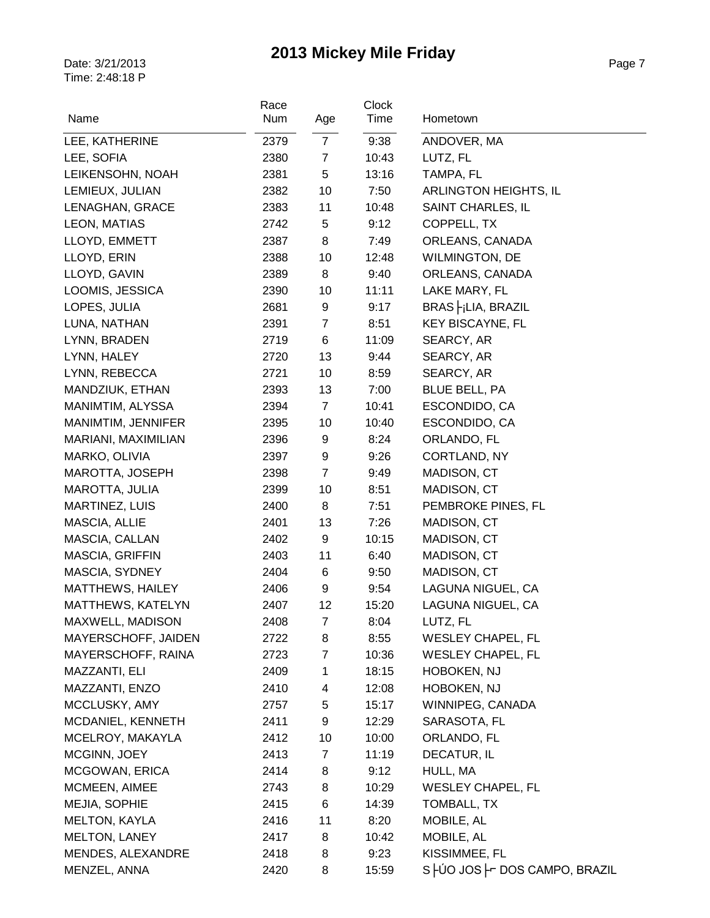| Name                  | Race<br>Num | Age            | Clock<br>Time | Hometown                      |
|-----------------------|-------------|----------------|---------------|-------------------------------|
|                       |             |                |               |                               |
| LEE, KATHERINE        | 2379        | $\overline{7}$ | 9:38          | ANDOVER, MA                   |
| LEE, SOFIA            | 2380        | $\overline{7}$ | 10:43         | LUTZ, FL                      |
| LEIKENSOHN, NOAH      | 2381        | 5              | 13:16         | TAMPA, FL                     |
| LEMIEUX, JULIAN       | 2382        | 10             | 7:50          | ARLINGTON HEIGHTS, IL         |
| LENAGHAN, GRACE       | 2383        | 11             | 10:48         | SAINT CHARLES, IL             |
| LEON, MATIAS          | 2742        | 5              | 9:12          | COPPELL, TX                   |
| LLOYD, EMMETT         | 2387        | 8              | 7:49          | ORLEANS, CANADA               |
| LLOYD, ERIN           | 2388        | 10             | 12:48         | <b>WILMINGTON, DE</b>         |
| LLOYD, GAVIN          | 2389        | 8              | 9:40          | ORLEANS, CANADA               |
| LOOMIS, JESSICA       | 2390        | 10             | 11:11         | LAKE MARY, FL                 |
| LOPES, JULIA          | 2681        | 9              | 9:17          | BRAS  - jLIA, BRAZIL          |
| LUNA, NATHAN          | 2391        | 7              | 8:51          | <b>KEY BISCAYNE, FL</b>       |
| LYNN, BRADEN          | 2719        | 6              | 11:09         | SEARCY, AR                    |
| LYNN, HALEY           | 2720        | 13             | 9:44          | SEARCY, AR                    |
| LYNN, REBECCA         | 2721        | 10             | 8:59          | SEARCY, AR                    |
| MANDZIUK, ETHAN       | 2393        | 13             | 7:00          | <b>BLUE BELL, PA</b>          |
| MANIMTIM, ALYSSA      | 2394        | $\overline{7}$ | 10:41         | ESCONDIDO, CA                 |
| MANIMTIM, JENNIFER    | 2395        | 10             | 10:40         | ESCONDIDO, CA                 |
| MARIANI, MAXIMILIAN   | 2396        | 9              | 8:24          | ORLANDO, FL                   |
| MARKO, OLIVIA         | 2397        | 9              | 9:26          | CORTLAND, NY                  |
| MAROTTA, JOSEPH       | 2398        | $\overline{7}$ | 9:49          | MADISON, CT                   |
| MAROTTA, JULIA        | 2399        | 10             | 8:51          | MADISON, CT                   |
| <b>MARTINEZ, LUIS</b> | 2400        | 8              | 7:51          | PEMBROKE PINES, FL            |
| MASCIA, ALLIE         | 2401        | 13             | 7:26          | MADISON, CT                   |
| MASCIA, CALLAN        | 2402        | 9              | 10:15         | MADISON, CT                   |
| MASCIA, GRIFFIN       | 2403        | 11             | 6:40          | MADISON, CT                   |
| MASCIA, SYDNEY        | 2404        | 6              | 9:50          | MADISON, CT                   |
| MATTHEWS, HAILEY      | 2406        | 9              | 9:54          | LAGUNA NIGUEL, CA             |
| MATTHEWS, KATELYN     | 2407        | 12             | 15:20         | LAGUNA NIGUEL, CA             |
| MAXWELL, MADISON      | 2408        | $\overline{7}$ | 8:04          | LUTZ, FL                      |
| MAYERSCHOFF, JAIDEN   | 2722        | 8              | 8:55          | <b>WESLEY CHAPEL, FL</b>      |
| MAYERSCHOFF, RAINA    | 2723        | 7              | 10:36         | <b>WESLEY CHAPEL, FL</b>      |
| MAZZANTI, ELI         | 2409        | 1              | 18:15         | HOBOKEN, NJ                   |
| MAZZANTI, ENZO        | 2410        | 4              | 12:08         | HOBOKEN, NJ                   |
| MCCLUSKY, AMY         | 2757        | 5              | 15:17         | WINNIPEG, CANADA              |
| MCDANIEL, KENNETH     | 2411        | 9              | 12:29         | SARASOTA, FL                  |
| MCELROY, MAKAYLA      | 2412        | 10             | 10:00         | ORLANDO, FL                   |
| MCGINN, JOEY          | 2413        | 7              | 11:19         | DECATUR, IL                   |
| MCGOWAN, ERICA        | 2414        | 8              | 9:12          | HULL, MA                      |
| MCMEEN, AIMEE         | 2743        | 8              | 10:29         | <b>WESLEY CHAPEL, FL</b>      |
| MEJIA, SOPHIE         | 2415        | 6              | 14:39         | TOMBALL, TX                   |
| <b>MELTON, KAYLA</b>  | 2416        | 11             | 8:20          | MOBILE, AL                    |
| <b>MELTON, LANEY</b>  | 2417        | 8              | 10:42         | MOBILE, AL                    |
| MENDES, ALEXANDRE     | 2418        | 8              | 9:23          | KISSIMMEE, FL                 |
| MENZEL, ANNA          | 2420        | 8              | 15:59         | S HÚO JOS F DOS CAMPO, BRAZIL |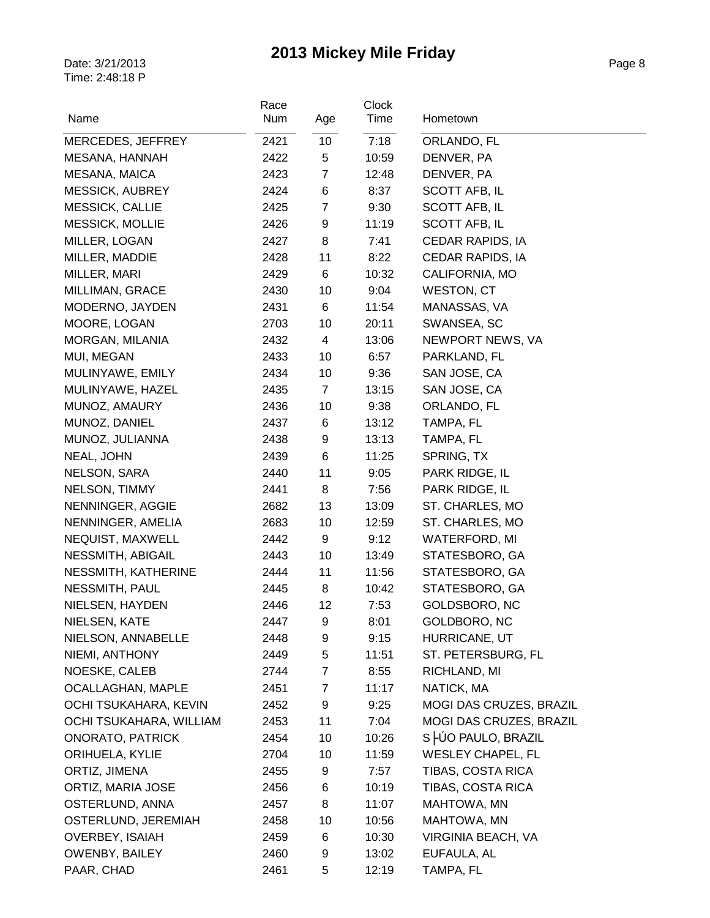| Name                     | Race<br>Num | Age            | <b>Clock</b><br>Time | Hometown                 |
|--------------------------|-------------|----------------|----------------------|--------------------------|
| MERCEDES, JEFFREY        | 2421        | 10             | 7:18                 | ORLANDO, FL              |
| MESANA, HANNAH           | 2422        | 5              | 10:59                | DENVER, PA               |
| MESANA, MAICA            | 2423        | $\overline{7}$ | 12:48                | DENVER, PA               |
| MESSICK, AUBREY          | 2424        | 6              | 8:37                 | <b>SCOTT AFB, IL</b>     |
| <b>MESSICK, CALLIE</b>   | 2425        | $\overline{7}$ | 9:30                 | SCOTT AFB, IL            |
| <b>MESSICK, MOLLIE</b>   | 2426        | 9              | 11:19                | SCOTT AFB, IL            |
| MILLER, LOGAN            | 2427        | 8              | 7:41                 | CEDAR RAPIDS, IA         |
| MILLER, MADDIE           | 2428        | 11             | 8:22                 | CEDAR RAPIDS, IA         |
| MILLER, MARI             | 2429        | 6              | 10:32                | CALIFORNIA, MO           |
| MILLIMAN, GRACE          | 2430        | 10             | 9:04                 | <b>WESTON, CT</b>        |
| MODERNO, JAYDEN          | 2431        | 6              | 11:54                | MANASSAS, VA             |
| MOORE, LOGAN             | 2703        | 10             | 20:11                | SWANSEA, SC              |
| MORGAN, MILANIA          | 2432        | 4              | 13:06                | NEWPORT NEWS, VA         |
| MUI, MEGAN               | 2433        | 10             | 6:57                 | PARKLAND, FL             |
| MULINYAWE, EMILY         | 2434        | 10             | 9:36                 | SAN JOSE, CA             |
| MULINYAWE, HAZEL         | 2435        | $\overline{7}$ | 13:15                | SAN JOSE, CA             |
| MUNOZ, AMAURY            | 2436        | 10             | 9:38                 | ORLANDO, FL              |
| MUNOZ, DANIEL            | 2437        | 6              | 13:12                | TAMPA, FL                |
| MUNOZ, JULIANNA          | 2438        | 9              | 13:13                | TAMPA, FL                |
| NEAL, JOHN               | 2439        | 6              | 11:25                | SPRING, TX               |
| NELSON, SARA             | 2440        | 11             | 9:05                 | PARK RIDGE, IL           |
| NELSON, TIMMY            | 2441        | 8              | 7:56                 | PARK RIDGE, IL           |
| NENNINGER, AGGIE         | 2682        | 13             | 13:09                | ST. CHARLES, MO          |
| NENNINGER, AMELIA        | 2683        | 10             | 12:59                | ST. CHARLES, MO          |
| NEQUIST, MAXWELL         | 2442        | 9              | 9:12                 | <b>WATERFORD, MI</b>     |
| NESSMITH, ABIGAIL        | 2443        | 10             | 13:49                | STATESBORO, GA           |
| NESSMITH, KATHERINE      | 2444        | 11             | 11:56                | STATESBORO, GA           |
| NESSMITH, PAUL           | 2445        | 8              | 10:42                | STATESBORO, GA           |
| NIELSEN, HAYDEN          | 2446        | 12             | 7:53                 | GOLDSBORO, NC            |
| NIELSEN, KATE            | 2447        | 9              | 8:01                 | GOLDBORO, NC             |
| NIELSON, ANNABELLE       | 2448        | 9              | 9:15                 | HURRICANE, UT            |
| NIEMI, ANTHONY           | 2449        | 5              | 11:51                | ST. PETERSBURG, FL       |
| NOESKE, CALEB            | 2744        | $\overline{7}$ | 8:55                 | RICHLAND, MI             |
| <b>OCALLAGHAN, MAPLE</b> | 2451        | $\overline{7}$ | 11:17                | NATICK, MA               |
| OCHI TSUKAHARA, KEVIN    | 2452        | 9              | 9:25                 | MOGI DAS CRUZES, BRAZIL  |
| OCHI TSUKAHARA, WILLIAM  | 2453        | 11             | 7:04                 | MOGI DAS CRUZES, BRAZIL  |
| <b>ONORATO, PATRICK</b>  | 2454        | 10             | 10:26                | S HÚO PAULO, BRAZIL      |
| ORIHUELA, KYLIE          | 2704        | 10             | 11:59                | <b>WESLEY CHAPEL, FL</b> |
| ORTIZ, JIMENA            | 2455        | 9              | 7:57                 | TIBAS, COSTA RICA        |
| ORTIZ, MARIA JOSE        | 2456        | 6              | 10:19                | TIBAS, COSTA RICA        |
| OSTERLUND, ANNA          | 2457        | 8              | 11:07                | MAHTOWA, MN              |
| OSTERLUND, JEREMIAH      | 2458        | 10             | 10:56                | MAHTOWA, MN              |
| <b>OVERBEY, ISAIAH</b>   | 2459        | 6              | 10:30                | VIRGINIA BEACH, VA       |
| <b>OWENBY, BAILEY</b>    | 2460        | 9              | 13:02                | EUFAULA, AL              |
| PAAR, CHAD               | 2461        | 5              | 12:19                | TAMPA, FL                |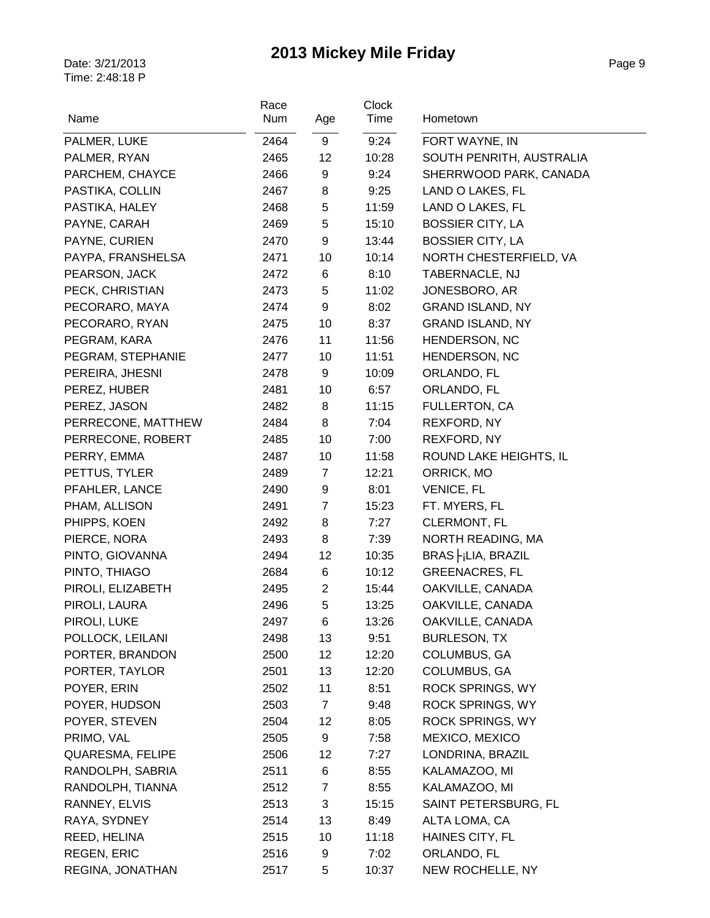|                    | Race |                | Clock |                          |
|--------------------|------|----------------|-------|--------------------------|
| Name               | Num  | Age            | Time  | Hometown                 |
| PALMER, LUKE       | 2464 | 9              | 9:24  | FORT WAYNE, IN           |
| PALMER, RYAN       | 2465 | 12             | 10:28 | SOUTH PENRITH, AUSTRALIA |
| PARCHEM, CHAYCE    | 2466 | 9              | 9:24  | SHERRWOOD PARK, CANADA   |
| PASTIKA, COLLIN    | 2467 | 8              | 9:25  | LAND O LAKES, FL         |
| PASTIKA, HALEY     | 2468 | 5              | 11:59 | LAND O LAKES, FL         |
| PAYNE, CARAH       | 2469 | 5              | 15:10 | <b>BOSSIER CITY, LA</b>  |
| PAYNE, CURIEN      | 2470 | 9              | 13:44 | <b>BOSSIER CITY, LA</b>  |
| PAYPA, FRANSHELSA  | 2471 | 10             | 10:14 | NORTH CHESTERFIELD, VA   |
| PEARSON, JACK      | 2472 | 6              | 8:10  | TABERNACLE, NJ           |
| PECK, CHRISTIAN    | 2473 | 5              | 11:02 | JONESBORO, AR            |
| PECORARO, MAYA     | 2474 | 9              | 8:02  | <b>GRAND ISLAND, NY</b>  |
| PECORARO, RYAN     | 2475 | 10             | 8:37  | <b>GRAND ISLAND, NY</b>  |
| PEGRAM, KARA       | 2476 | 11             | 11:56 | <b>HENDERSON, NC</b>     |
| PEGRAM, STEPHANIE  | 2477 | 10             | 11:51 | HENDERSON, NC            |
| PEREIRA, JHESNI    | 2478 | 9              | 10:09 | ORLANDO, FL              |
| PEREZ, HUBER       | 2481 | 10             | 6:57  | ORLANDO, FL              |
| PEREZ, JASON       | 2482 | 8              | 11:15 | FULLERTON, CA            |
| PERRECONE, MATTHEW | 2484 | 8              | 7:04  | REXFORD, NY              |
| PERRECONE, ROBERT  | 2485 | 10             | 7:00  | REXFORD, NY              |
| PERRY, EMMA        | 2487 | 10             | 11:58 | ROUND LAKE HEIGHTS, IL   |
| PETTUS, TYLER      | 2489 | 7              | 12:21 | ORRICK, MO               |
| PFAHLER, LANCE     | 2490 | 9              | 8:01  | <b>VENICE, FL</b>        |
| PHAM, ALLISON      | 2491 | $\overline{7}$ | 15:23 | FT. MYERS, FL            |
| PHIPPS, KOEN       | 2492 | 8              | 7:27  | <b>CLERMONT, FL</b>      |
| PIERCE, NORA       | 2493 | 8              | 7:39  | NORTH READING, MA        |
| PINTO, GIOVANNA    | 2494 | 12             | 10:35 | BRAS FiLIA, BRAZIL       |
| PINTO, THIAGO      | 2684 | 6              | 10:12 | <b>GREENACRES, FL</b>    |
| PIROLI, ELIZABETH  | 2495 | $\overline{2}$ | 15:44 | OAKVILLE, CANADA         |
| PIROLI, LAURA      | 2496 | 5              | 13:25 | OAKVILLE, CANADA         |
| PIROLI, LUKE       | 2497 | 6              | 13:26 | OAKVILLE, CANADA         |
| POLLOCK, LEILANI   | 2498 | 13             | 9:51  | <b>BURLESON, TX</b>      |
| PORTER, BRANDON    | 2500 | 12             | 12:20 | COLUMBUS, GA             |
| PORTER, TAYLOR     | 2501 | 13             | 12:20 | COLUMBUS, GA             |
| POYER, ERIN        | 2502 | 11             | 8:51  | <b>ROCK SPRINGS, WY</b>  |
| POYER, HUDSON      | 2503 | $\overline{7}$ | 9:48  | <b>ROCK SPRINGS, WY</b>  |
| POYER, STEVEN      | 2504 | 12             | 8:05  | <b>ROCK SPRINGS, WY</b>  |
| PRIMO, VAL         | 2505 | 9              | 7:58  | MEXICO, MEXICO           |
| QUARESMA, FELIPE   | 2506 | 12             | 7:27  | LONDRINA, BRAZIL         |
| RANDOLPH, SABRIA   | 2511 | 6              | 8:55  | KALAMAZOO, MI            |
| RANDOLPH, TIANNA   | 2512 | $\overline{7}$ | 8:55  | KALAMAZOO, MI            |
| RANNEY, ELVIS      | 2513 | 3              | 15:15 | SAINT PETERSBURG, FL     |
| RAYA, SYDNEY       | 2514 | 13             | 8:49  | ALTA LOMA, CA            |
| REED, HELINA       | 2515 | 10             | 11:18 | HAINES CITY, FL          |
| <b>REGEN, ERIC</b> | 2516 | 9              | 7:02  | ORLANDO, FL              |
| REGINA, JONATHAN   | 2517 | 5              | 10:37 | NEW ROCHELLE, NY         |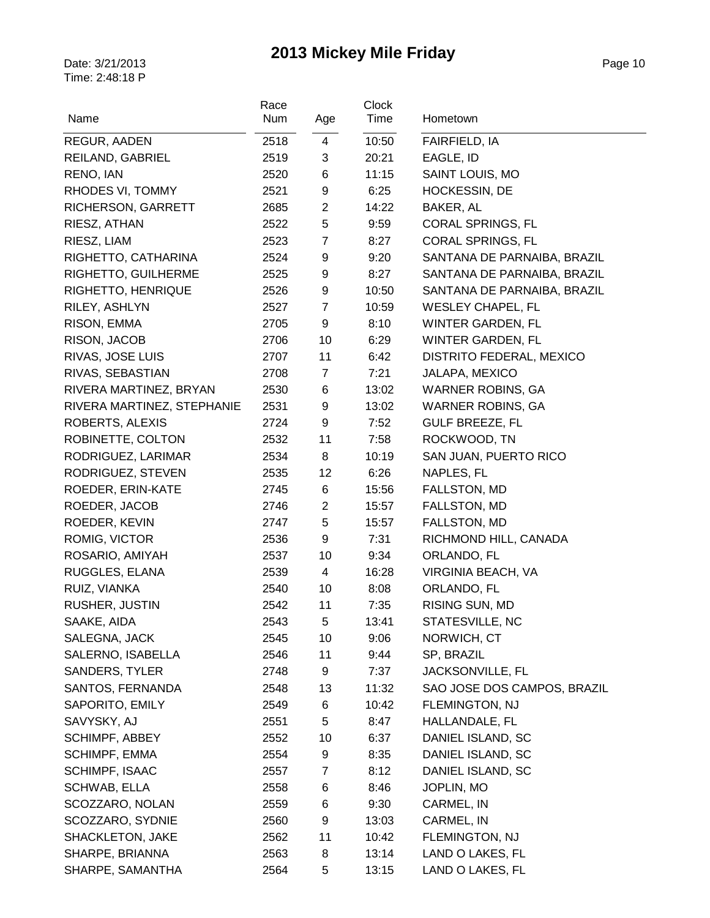|                            | Race |                | Clock |                             |
|----------------------------|------|----------------|-------|-----------------------------|
| Name                       | Num  | Age            | Time  | Hometown                    |
| REGUR, AADEN               | 2518 | 4              | 10:50 | FAIRFIELD, IA               |
| REILAND, GABRIEL           | 2519 | 3              | 20:21 | EAGLE, ID                   |
| RENO, IAN                  | 2520 | 6              | 11:15 | SAINT LOUIS, MO             |
| RHODES VI, TOMMY           | 2521 | 9              | 6:25  | HOCKESSIN, DE               |
| RICHERSON, GARRETT         | 2685 | $\overline{2}$ | 14:22 | BAKER, AL                   |
| RIESZ, ATHAN               | 2522 | 5              | 9:59  | CORAL SPRINGS, FL           |
| RIESZ, LIAM                | 2523 | $\overline{7}$ | 8:27  | CORAL SPRINGS, FL           |
| RIGHETTO, CATHARINA        | 2524 | 9              | 9:20  | SANTANA DE PARNAIBA, BRAZIL |
| RIGHETTO, GUILHERME        | 2525 | 9              | 8:27  | SANTANA DE PARNAIBA, BRAZIL |
| RIGHETTO, HENRIQUE         | 2526 | 9              | 10:50 | SANTANA DE PARNAIBA, BRAZIL |
| RILEY, ASHLYN              | 2527 | $\overline{7}$ | 10:59 | <b>WESLEY CHAPEL, FL</b>    |
| RISON, EMMA                | 2705 | 9              | 8:10  | <b>WINTER GARDEN, FL</b>    |
| RISON, JACOB               | 2706 | 10             | 6:29  | <b>WINTER GARDEN, FL</b>    |
| RIVAS, JOSE LUIS           | 2707 | 11             | 6:42  | DISTRITO FEDERAL, MEXICO    |
| RIVAS, SEBASTIAN           | 2708 | $\overline{7}$ | 7:21  | JALAPA, MEXICO              |
| RIVERA MARTINEZ, BRYAN     | 2530 | 6              | 13:02 | <b>WARNER ROBINS, GA</b>    |
| RIVERA MARTINEZ, STEPHANIE | 2531 | 9              | 13:02 | <b>WARNER ROBINS, GA</b>    |
| ROBERTS, ALEXIS            | 2724 | 9              | 7:52  | <b>GULF BREEZE, FL</b>      |
| ROBINETTE, COLTON          | 2532 | 11             | 7:58  | ROCKWOOD, TN                |
| RODRIGUEZ, LARIMAR         | 2534 | 8              | 10:19 | SAN JUAN, PUERTO RICO       |
| RODRIGUEZ, STEVEN          | 2535 | 12             | 6:26  | NAPLES, FL                  |
| ROEDER, ERIN-KATE          | 2745 | 6              | 15:56 | FALLSTON, MD                |
| ROEDER, JACOB              | 2746 | $\overline{2}$ | 15:57 | FALLSTON, MD                |
| ROEDER, KEVIN              | 2747 | 5              | 15:57 | FALLSTON, MD                |
| ROMIG, VICTOR              | 2536 | 9              | 7:31  | RICHMOND HILL, CANADA       |
| ROSARIO, AMIYAH            | 2537 | 10             | 9:34  | ORLANDO, FL                 |
| RUGGLES, ELANA             | 2539 | 4              | 16:28 | VIRGINIA BEACH, VA          |
| RUIZ, VIANKA               | 2540 | 10             | 8:08  | ORLANDO, FL                 |
| RUSHER, JUSTIN             | 2542 | 11             | 7:35  | RISING SUN, MD              |
| SAAKE, AIDA                | 2543 | 5              | 13:41 | STATESVILLE, NC             |
| SALEGNA, JACK              | 2545 | 10             | 9:06  | NORWICH, CT                 |
| SALERNO, ISABELLA          | 2546 | 11             | 9:44  | SP, BRAZIL                  |
| <b>SANDERS, TYLER</b>      | 2748 | 9              | 7:37  | JACKSONVILLE, FL            |
| SANTOS, FERNANDA           | 2548 | 13             | 11:32 | SAO JOSE DOS CAMPOS, BRAZIL |
| SAPORITO, EMILY            | 2549 | 6              | 10:42 | FLEMINGTON, NJ              |
| SAVYSKY, AJ                | 2551 | 5              | 8:47  | HALLANDALE, FL              |
| <b>SCHIMPF, ABBEY</b>      | 2552 | 10             | 6:37  | DANIEL ISLAND, SC           |
| SCHIMPF, EMMA              | 2554 | 9              | 8:35  | DANIEL ISLAND, SC           |
| SCHIMPF, ISAAC             | 2557 | 7              | 8:12  | DANIEL ISLAND, SC           |
| SCHWAB, ELLA               | 2558 | 6              | 8:46  | JOPLIN, MO                  |
| SCOZZARO, NOLAN            | 2559 | 6              | 9:30  | CARMEL, IN                  |
| SCOZZARO, SYDNIE           | 2560 | 9              | 13:03 | CARMEL, IN                  |
| SHACKLETON, JAKE           | 2562 | 11             | 10:42 | FLEMINGTON, NJ              |
| SHARPE, BRIANNA            | 2563 | 8              | 13:14 | LAND O LAKES, FL            |
| SHARPE, SAMANTHA           | 2564 | 5              | 13:15 | LAND O LAKES, FL            |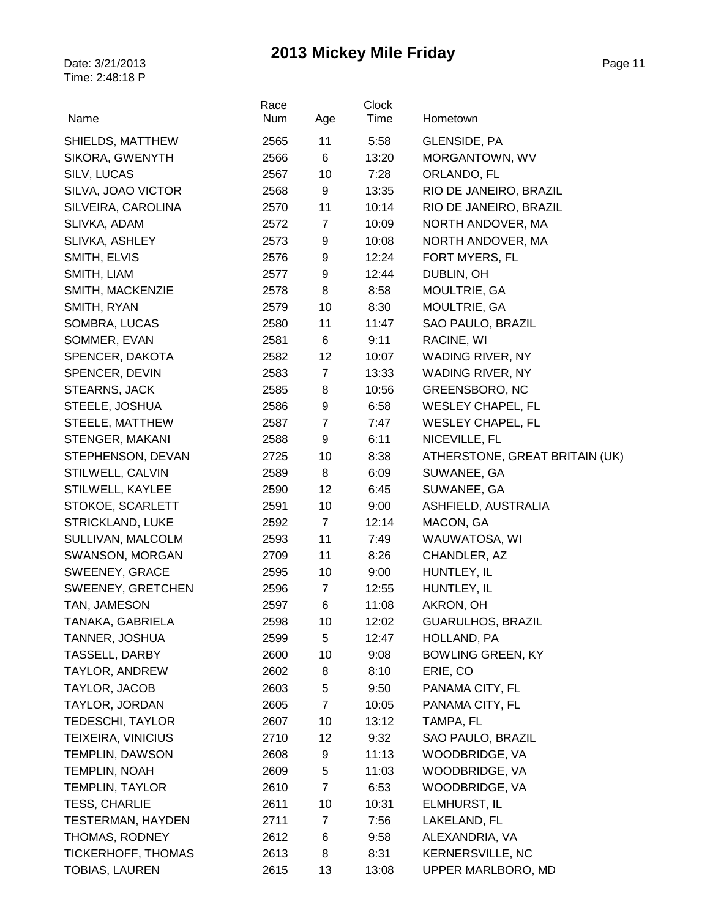| Name                     | Race<br>Num | Age            | <b>Clock</b><br>Time | Hometown                       |
|--------------------------|-------------|----------------|----------------------|--------------------------------|
| SHIELDS, MATTHEW         | 2565        | 11             | 5:58                 | GLENSIDE, PA                   |
| SIKORA, GWENYTH          | 2566        | 6              | 13:20                | MORGANTOWN, WV                 |
| SILV, LUCAS              | 2567        | 10             | 7:28                 | ORLANDO, FL                    |
| SILVA, JOAO VICTOR       | 2568        | 9              | 13:35                | RIO DE JANEIRO, BRAZIL         |
| SILVEIRA, CAROLINA       | 2570        | 11             | 10:14                | RIO DE JANEIRO, BRAZIL         |
| SLIVKA, ADAM             | 2572        | $\overline{7}$ | 10:09                | NORTH ANDOVER, MA              |
| SLIVKA, ASHLEY           | 2573        | 9              | 10:08                | NORTH ANDOVER, MA              |
| SMITH, ELVIS             | 2576        | 9              | 12:24                | FORT MYERS, FL                 |
| SMITH, LIAM              | 2577        | 9              | 12:44                | DUBLIN, OH                     |
| SMITH, MACKENZIE         | 2578        | 8              | 8:58                 | MOULTRIE, GA                   |
| SMITH, RYAN              | 2579        | 10             | 8:30                 | MOULTRIE, GA                   |
| SOMBRA, LUCAS            | 2580        | 11             | 11:47                | SAO PAULO, BRAZIL              |
| SOMMER, EVAN             | 2581        | 6              | 9:11                 | RACINE, WI                     |
| SPENCER, DAKOTA          | 2582        | 12             | 10:07                | WADING RIVER, NY               |
| SPENCER, DEVIN           | 2583        | $\overline{7}$ | 13:33                | WADING RIVER, NY               |
| STEARNS, JACK            | 2585        | 8              | 10:56                | <b>GREENSBORO, NC</b>          |
| STEELE, JOSHUA           | 2586        | 9              | 6:58                 | <b>WESLEY CHAPEL, FL</b>       |
| STEELE, MATTHEW          | 2587        | $\overline{7}$ | 7:47                 | <b>WESLEY CHAPEL, FL</b>       |
| STENGER, MAKANI          | 2588        | 9              | 6:11                 | NICEVILLE, FL                  |
| STEPHENSON, DEVAN        | 2725        | 10             | 8:38                 | ATHERSTONE, GREAT BRITAIN (UK) |
| STILWELL, CALVIN         | 2589        | 8              | 6:09                 | SUWANEE, GA                    |
| STILWELL, KAYLEE         | 2590        | 12             | 6:45                 | SUWANEE, GA                    |
| STOKOE, SCARLETT         | 2591        | 10             | 9:00                 | ASHFIELD, AUSTRALIA            |
| <b>STRICKLAND, LUKE</b>  | 2592        | $\overline{7}$ | 12:14                | MACON, GA                      |
| SULLIVAN, MALCOLM        | 2593        | 11             | 7:49                 | WAUWATOSA, WI                  |
| SWANSON, MORGAN          | 2709        | 11             | 8:26                 | CHANDLER, AZ                   |
| SWEENEY, GRACE           | 2595        | 10             | 9:00                 | HUNTLEY, IL                    |
| SWEENEY, GRETCHEN        | 2596        | $\overline{7}$ | 12:55                | HUNTLEY, IL                    |
| TAN, JAMESON             | 2597        | 6              | 11:08                | AKRON, OH                      |
| TANAKA, GABRIELA         | 2598        | 10             | 12:02                | <b>GUARULHOS, BRAZIL</b>       |
| TANNER, JOSHUA           | 2599        | 5              | 12:47                | HOLLAND, PA                    |
| TASSELL, DARBY           | 2600        | 10             | 9:08                 | <b>BOWLING GREEN, KY</b>       |
| TAYLOR, ANDREW           | 2602        | 8              | 8:10                 | ERIE, CO                       |
| TAYLOR, JACOB            | 2603        | 5              | 9:50                 | PANAMA CITY, FL                |
| TAYLOR, JORDAN           | 2605        | 7              | 10:05                | PANAMA CITY, FL                |
| TEDESCHI, TAYLOR         | 2607        | 10             | 13:12                | TAMPA, FL                      |
| TEIXEIRA, VINICIUS       | 2710        | 12             | 9:32                 | SAO PAULO, BRAZIL              |
| <b>TEMPLIN, DAWSON</b>   | 2608        | 9              | 11:13                | WOODBRIDGE, VA                 |
| <b>TEMPLIN, NOAH</b>     | 2609        | 5              | 11:03                | WOODBRIDGE, VA                 |
| TEMPLIN, TAYLOR          | 2610        | 7              | 6:53                 | WOODBRIDGE, VA                 |
| <b>TESS, CHARLIE</b>     | 2611        | 10             | 10:31                | ELMHURST, IL                   |
| <b>TESTERMAN, HAYDEN</b> | 2711        | 7              | 7:56                 | LAKELAND, FL                   |
| THOMAS, RODNEY           | 2612        | 6              | 9:58                 | ALEXANDRIA, VA                 |
| TICKERHOFF, THOMAS       | 2613        | 8              | 8:31                 | <b>KERNERSVILLE, NC</b>        |
| <b>TOBIAS, LAUREN</b>    | 2615        | 13             | 13:08                | UPPER MARLBORO, MD             |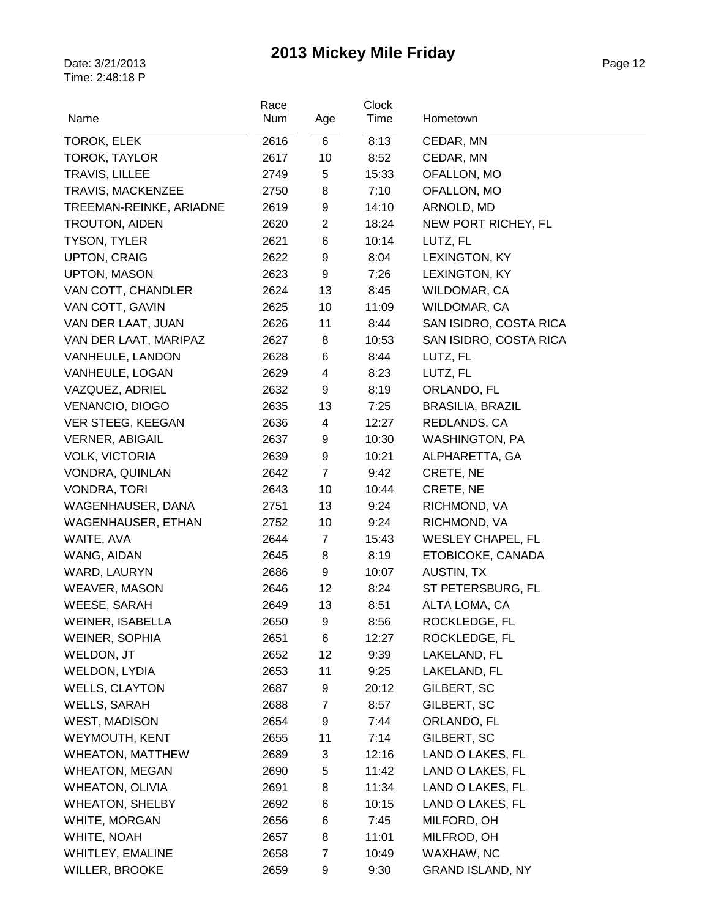| Name                         | Race<br><b>Num</b> | Age                 | <b>Clock</b><br>Time | Hometown                   |
|------------------------------|--------------------|---------------------|----------------------|----------------------------|
| TOROK, ELEK                  | 2616               | 6                   | 8:13                 | CEDAR, MN                  |
| <b>TOROK, TAYLOR</b>         | 2617               | 10                  | 8:52                 | CEDAR, MN                  |
| TRAVIS, LILLEE               | 2749               | 5                   | 15:33                | OFALLON, MO                |
| TRAVIS, MACKENZEE            | 2750               | 8                   | 7:10                 | OFALLON, MO                |
| TREEMAN-REINKE, ARIADNE      | 2619               | 9                   | 14:10                | ARNOLD, MD                 |
| TROUTON, AIDEN               | 2620               | $\overline{2}$      | 18:24                | NEW PORT RICHEY, FL        |
| <b>TYSON, TYLER</b>          | 2621               | 6                   | 10:14                | LUTZ, FL                   |
| <b>UPTON, CRAIG</b>          | 2622               | 9                   | 8:04                 | LEXINGTON, KY              |
| <b>UPTON, MASON</b>          | 2623               | 9                   | 7:26                 | LEXINGTON, KY              |
| VAN COTT, CHANDLER           | 2624               | 13                  | 8:45                 | WILDOMAR, CA               |
| VAN COTT, GAVIN              | 2625               | 10                  | 11:09                | WILDOMAR, CA               |
| VAN DER LAAT, JUAN           | 2626               | 11                  | 8:44                 | SAN ISIDRO, COSTA RICA     |
| VAN DER LAAT, MARIPAZ        | 2627               | 8                   | 10:53                | SAN ISIDRO, COSTA RICA     |
| VANHEULE, LANDON             | 2628               | 6                   | 8:44                 | LUTZ, FL                   |
| VANHEULE, LOGAN              | 2629               | 4                   | 8:23                 | LUTZ, FL                   |
| VAZQUEZ, ADRIEL              | 2632               | 9                   | 8:19                 | ORLANDO, FL                |
| VENANCIO, DIOGO              | 2635               | 13                  | 7:25                 | <b>BRASILIA, BRAZIL</b>    |
| VER STEEG, KEEGAN            | 2636               | 4                   | 12:27                | REDLANDS, CA               |
| <b>VERNER, ABIGAIL</b>       | 2637               | 9                   | 10:30                | <b>WASHINGTON, PA</b>      |
| <b>VOLK, VICTORIA</b>        | 2639               | 9                   | 10:21                | ALPHARETTA, GA             |
| VONDRA, QUINLAN              | 2642               | $\overline{7}$      | 9:42                 | CRETE, NE                  |
| <b>VONDRA, TORI</b>          | 2643               | 10                  | 10:44                | CRETE, NE                  |
| WAGENHAUSER, DANA            | 2751               | 13                  | 9:24                 | RICHMOND, VA               |
| <b>WAGENHAUSER, ETHAN</b>    | 2752               | 10                  | 9:24                 | RICHMOND, VA               |
| WAITE, AVA                   | 2644               | $\overline{7}$      | 15:43                | <b>WESLEY CHAPEL, FL</b>   |
| WANG, AIDAN                  | 2645               | 8                   | 8:19                 | ETOBICOKE, CANADA          |
| WARD, LAURYN                 | 2686               | 9                   | 10:07                | <b>AUSTIN, TX</b>          |
| <b>WEAVER, MASON</b>         | 2646               | 12                  | 8:24                 | ST PETERSBURG, FL          |
| WEESE, SARAH                 | 2649               | 13                  | 8:51                 | ALTA LOMA, CA              |
| WEINER, ISABELLA             | 2650               | 9                   | 8:56                 | ROCKLEDGE, FL              |
| WEINER, SOPHIA               | 2651               | 6                   | 12:27                | ROCKLEDGE, FL              |
| WELDON, JT                   | 2652               | 12                  | 9:39                 | LAKELAND, FL               |
| <b>WELDON, LYDIA</b>         | 2653               | 11                  | 9:25                 | LAKELAND, FL               |
| <b>WELLS, CLAYTON</b>        | 2687               | 9                   | 20:12                | GILBERT, SC                |
| <b>WELLS, SARAH</b>          | 2688               | 7                   | 8:57                 | GILBERT, SC                |
| <b>WEST, MADISON</b>         | 2654               | 9                   | 7:44                 | ORLANDO, FL                |
| WEYMOUTH, KENT               | 2655               | 11                  | 7:14                 | GILBERT, SC                |
| <b>WHEATON, MATTHEW</b>      | 2689               | 3                   | 12:16                | LAND O LAKES, FL           |
| <b>WHEATON, MEGAN</b>        | 2690               | 5                   | 11:42                | LAND O LAKES, FL           |
| <b>WHEATON, OLIVIA</b>       | 2691               | 8                   | 11:34                | LAND O LAKES, FL           |
| <b>WHEATON, SHELBY</b>       | 2692               | 6                   | 10:15                | LAND O LAKES, FL           |
| WHITE, MORGAN<br>WHITE, NOAH | 2656               | 6                   | 7:45<br>11:01        | MILFORD, OH<br>MILFROD, OH |
| WHITLEY, EMALINE             | 2657<br>2658       | 8<br>$\overline{7}$ | 10:49                | WAXHAW, NC                 |
|                              |                    |                     |                      | <b>GRAND ISLAND, NY</b>    |
| WILLER, BROOKE               | 2659               | 9                   | 9:30                 |                            |